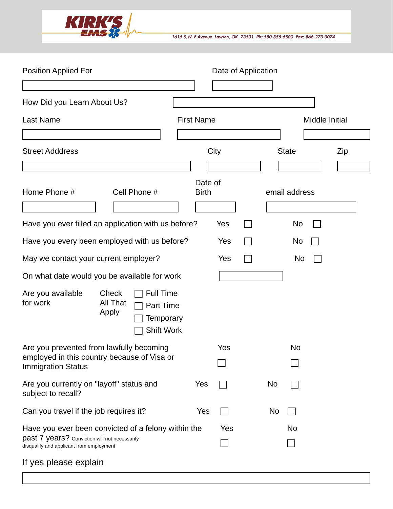

1616 S.W. F Avenue Lawton, OK 73501 Ph: 580-355-6500 Fax: 866-273-0074

| <b>Position Applied For</b>                                                                                                                      |                            |                                                          |     |                         | Date of Application |    |               |                        |     |
|--------------------------------------------------------------------------------------------------------------------------------------------------|----------------------------|----------------------------------------------------------|-----|-------------------------|---------------------|----|---------------|------------------------|-----|
|                                                                                                                                                  |                            |                                                          |     |                         |                     |    |               |                        |     |
| How Did you Learn About Us?                                                                                                                      |                            |                                                          |     |                         |                     |    |               | $\left  \cdot \right $ |     |
| <b>Last Name</b>                                                                                                                                 |                            |                                                          |     | <b>First Name</b>       |                     |    |               | Middle Initial         |     |
|                                                                                                                                                  |                            |                                                          |     |                         |                     |    |               |                        |     |
| <b>Street Adddress</b>                                                                                                                           |                            |                                                          |     |                         | City                |    | <b>State</b>  |                        | Zip |
|                                                                                                                                                  |                            |                                                          |     |                         |                     |    |               |                        |     |
| Home Phone #                                                                                                                                     |                            | Cell Phone #                                             |     | Date of<br><b>Birth</b> |                     |    | email address |                        |     |
| Have you ever filled an application with us before?                                                                                              |                            |                                                          |     |                         | Yes                 |    | No            |                        |     |
| Have you every been employed with us before?                                                                                                     |                            |                                                          |     |                         | Yes                 |    | No            |                        |     |
| May we contact your current employer?                                                                                                            |                            |                                                          |     |                         | Yes                 |    | No            |                        |     |
| On what date would you be available for work                                                                                                     |                            |                                                          |     |                         |                     |    |               |                        |     |
| Are you available<br>for work                                                                                                                    | Check<br>All That<br>Apply | <b>Full Time</b><br>Part Time<br>Temporary<br>Shift Work |     |                         |                     |    |               |                        |     |
| Are you prevented from lawfully becoming<br>employed in this country because of Visa or<br><b>Immigration Status</b>                             |                            |                                                          | Yes |                         | No                  |    |               |                        |     |
|                                                                                                                                                  |                            |                                                          |     |                         |                     |    |               |                        |     |
| Are you currently on "layoff" status and<br>subject to recall?                                                                                   |                            |                                                          |     | Yes                     |                     | No |               |                        |     |
| Can you travel if the job requires it?                                                                                                           |                            | Yes                                                      |     | No                      |                     |    |               |                        |     |
| Have you ever been convicted of a felony within the<br>past 7 years? Conviction will not necessarily<br>disqualify and applicant from employment |                            |                                                          | Yes |                         | No                  |    |               |                        |     |
| If yes please explain                                                                                                                            |                            |                                                          |     |                         |                     |    |               |                        |     |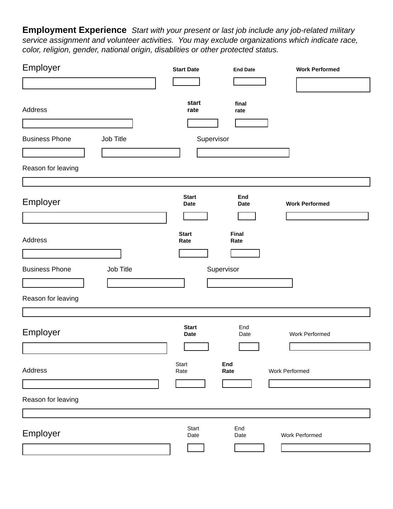**Employment Experience** *Start with your present or last job include any job-related military service assignment and volunteer activities. You may exclude organizations which indicate race, color, religion, gender, national origin, disablities or other protected status.*

| Employer                           | <b>Start Date</b>           | <b>End Date</b>    | <b>Work Performed</b> |
|------------------------------------|-----------------------------|--------------------|-----------------------|
|                                    |                             |                    |                       |
| Address                            | start<br>rate               | final<br>rate      |                       |
| <b>Business Phone</b><br>Job Title | Supervisor                  |                    |                       |
| Reason for leaving                 |                             |                    |                       |
| Employer                           | <b>Start</b><br><b>Date</b> | End<br><b>Date</b> | <b>Work Performed</b> |
| Address                            | <b>Start</b><br>Rate        | Final<br>Rate      |                       |
| <b>Business Phone</b><br>Job Title |                             | Supervisor         |                       |
| Reason for leaving                 |                             |                    |                       |
| Employer                           | <b>Start</b><br><b>Date</b> | End<br>Date        | Work Performed        |
| Address                            | Start<br>Rate               | End<br>Rate        | Work Performed        |
| Reason for leaving                 |                             |                    |                       |
|                                    |                             |                    |                       |
| Employer                           | Start<br>Date               | End<br>Date        | Work Performed        |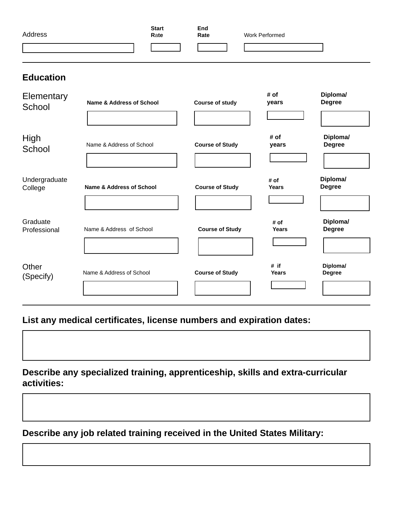| Address | <b>Start</b><br>Rate | End<br>Rate | <b>Work Performed</b> |
|---------|----------------------|-------------|-----------------------|
|         |                      |             |                       |

## **Education**

| Elementary<br>School     | <b>Name &amp; Address of School</b> | <b>Course of study</b> | # of<br>years        | Diploma/<br><b>Degree</b> |
|--------------------------|-------------------------------------|------------------------|----------------------|---------------------------|
| High<br>School           | Name & Address of School            | <b>Course of Study</b> | # of<br>years        | Diploma/<br><b>Degree</b> |
| Undergraduate<br>College | <b>Name &amp; Address of School</b> | <b>Course of Study</b> | # of<br><b>Years</b> | Diploma/<br><b>Degree</b> |
| Graduate<br>Professional | Name & Address of School            | <b>Course of Study</b> | # of<br><b>Years</b> | Diploma/<br><b>Degree</b> |
| Other<br>(Specify)       | Name & Address of School            | <b>Course of Study</b> | # if<br><b>Years</b> | Diploma/<br><b>Degree</b> |

**List any medical certificates, license numbers and expiration dates:**

**Describe any specialized training, apprenticeship, skills and extra-curricular activities:**

**Describe any job related training received in the United States Military:**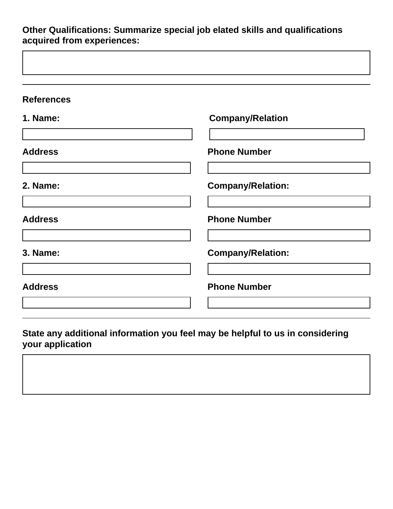**Other Qualifications: Summarize special job elated skills and qualifications acquired from experiences:**

| <b>References</b> |                          |
|-------------------|--------------------------|
| <b>1. Name:</b>   | <b>Company/Relation</b>  |
|                   |                          |
| <b>Address</b>    | <b>Phone Number</b>      |
|                   |                          |
| 2. Name:          | <b>Company/Relation:</b> |
|                   |                          |
| <b>Address</b>    | <b>Phone Number</b>      |
|                   |                          |
| 3. Name:          | <b>Company/Relation:</b> |
|                   |                          |
| <b>Address</b>    | <b>Phone Number</b>      |
|                   |                          |

## **State any additional information you feel may be helpful to us in considering your application**